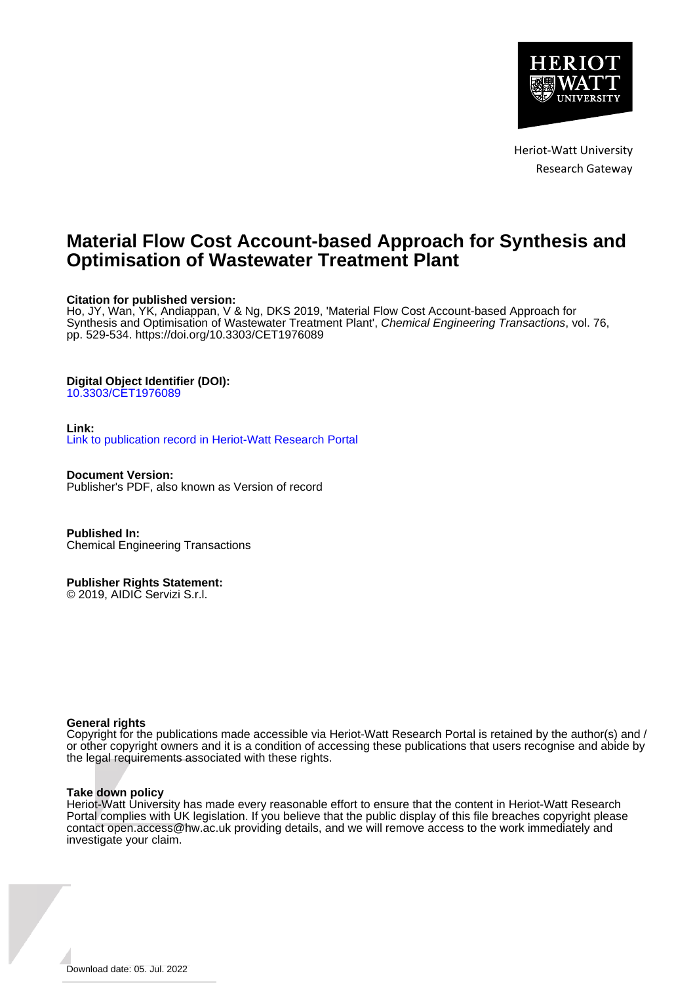

Heriot-Watt University Research Gateway

## **Material Flow Cost Account-based Approach for Synthesis and Optimisation of Wastewater Treatment Plant**

## **Citation for published version:**

Ho, JY, Wan, YK, Andiappan, V & Ng, DKS 2019, 'Material Flow Cost Account-based Approach for Synthesis and Optimisation of Wastewater Treatment Plant', Chemical Engineering Transactions, vol. 76, pp. 529-534. <https://doi.org/10.3303/CET1976089>

## **Digital Object Identifier (DOI):**

[10.3303/CET1976089](https://doi.org/10.3303/CET1976089)

## **Link:**

[Link to publication record in Heriot-Watt Research Portal](https://researchportal.hw.ac.uk/en/publications/fce5c2d9-68df-448c-b43f-ac911369b99b)

**Document Version:** Publisher's PDF, also known as Version of record

**Published In:** Chemical Engineering Transactions

**Publisher Rights Statement:**

© 2019, AIDIC Servizi S.r.l.

## **General rights**

Copyright for the publications made accessible via Heriot-Watt Research Portal is retained by the author(s) and / or other copyright owners and it is a condition of accessing these publications that users recognise and abide by the legal requirements associated with these rights.

#### **Take down policy**

Heriot-Watt University has made every reasonable effort to ensure that the content in Heriot-Watt Research Portal complies with UK legislation. If you believe that the public display of this file breaches copyright please contact open.access@hw.ac.uk providing details, and we will remove access to the work immediately and investigate your claim.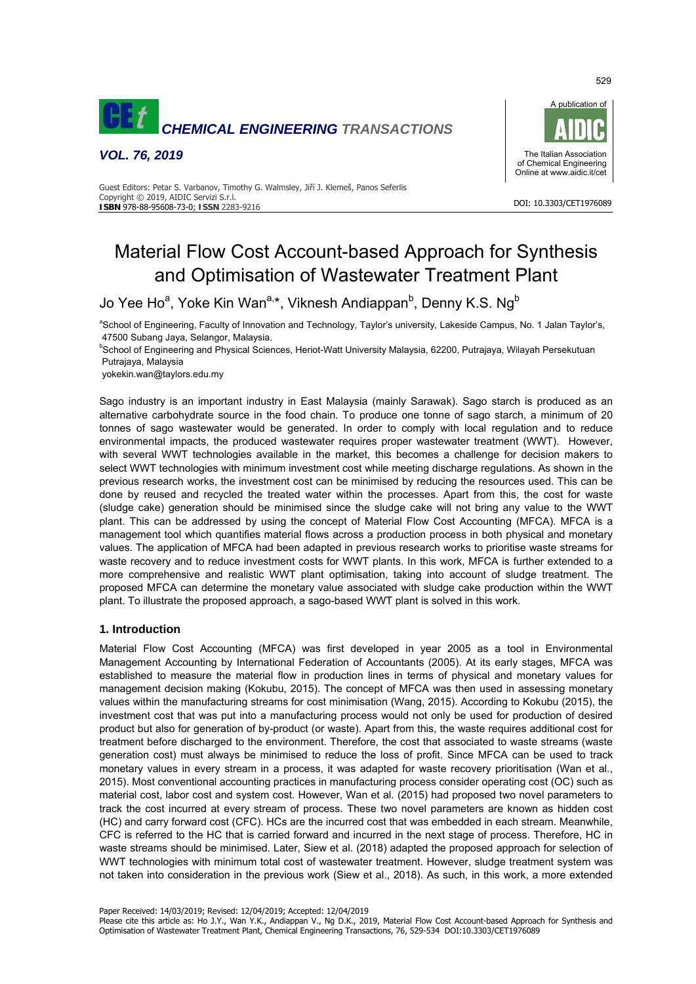

*VOL. 76, 2019* 



DOI: 10.3303/CET1976089

#### Guest Editors: Petar S. Varbanov, Timothy G. Walmsley, Jiří J. Klemeš, Panos Seferlis Copyright © 2019, AIDIC Servizi S.r.l. **ISBN** 978-88-95608-73-0; **ISSN** 2283-9216

# Material Flow Cost Account-based Approach for Synthesis and Optimisation of Wastewater Treatment Plant

Jo Yee Ho<sup>a</sup>, Yoke Kin Wan<sup>a,</sup>\*, Viknesh Andiappan<sup>b</sup>, Denny K.S. Ng<sup>b</sup>

<sup>a</sup>School of Engineering, Faculty of Innovation and Technology, Taylor's university, Lakeside Campus, No. 1 Jalan Taylor's, 47500 Subang Jaya, Selangor, Malaysia.

**<sup>b</sup>School of Engineering and Physical Sciences, Heriot-Watt University Malaysia, 62200, Putrajaya, Wilayah Persekutuan** Putrajaya, Malaysia

yokekin.wan@taylors.edu.my

Sago industry is an important industry in East Malaysia (mainly Sarawak). Sago starch is produced as an alternative carbohydrate source in the food chain. To produce one tonne of sago starch, a minimum of 20 tonnes of sago wastewater would be generated. In order to comply with local regulation and to reduce environmental impacts, the produced wastewater requires proper wastewater treatment (WWT). However, with several WWT technologies available in the market, this becomes a challenge for decision makers to select WWT technologies with minimum investment cost while meeting discharge regulations. As shown in the previous research works, the investment cost can be minimised by reducing the resources used. This can be done by reused and recycled the treated water within the processes. Apart from this, the cost for waste (sludge cake) generation should be minimised since the sludge cake will not bring any value to the WWT plant. This can be addressed by using the concept of Material Flow Cost Accounting (MFCA). MFCA is a management tool which quantifies material flows across a production process in both physical and monetary values. The application of MFCA had been adapted in previous research works to prioritise waste streams for waste recovery and to reduce investment costs for WWT plants. In this work, MFCA is further extended to a more comprehensive and realistic WWT plant optimisation, taking into account of sludge treatment. The proposed MFCA can determine the monetary value associated with sludge cake production within the WWT plant. To illustrate the proposed approach, a sago-based WWT plant is solved in this work.

## **1. Introduction**

Material Flow Cost Accounting (MFCA) was first developed in year 2005 as a tool in Environmental Management Accounting by International Federation of Accountants (2005). At its early stages, MFCA was established to measure the material flow in production lines in terms of physical and monetary values for management decision making (Kokubu, 2015). The concept of MFCA was then used in assessing monetary values within the manufacturing streams for cost minimisation (Wang, 2015). According to Kokubu (2015), the investment cost that was put into a manufacturing process would not only be used for production of desired product but also for generation of by-product (or waste). Apart from this, the waste requires additional cost for treatment before discharged to the environment. Therefore, the cost that associated to waste streams (waste generation cost) must always be minimised to reduce the loss of profit. Since MFCA can be used to track monetary values in every stream in a process, it was adapted for waste recovery prioritisation (Wan et al., 2015). Most conventional accounting practices in manufacturing process consider operating cost (OC) such as material cost, labor cost and system cost. However, Wan et al. (2015) had proposed two novel parameters to track the cost incurred at every stream of process. These two novel parameters are known as hidden cost (HC) and carry forward cost (CFC). HCs are the incurred cost that was embedded in each stream. Meanwhile, CFC is referred to the HC that is carried forward and incurred in the next stage of process. Therefore, HC in waste streams should be minimised. Later, Siew et al. (2018) adapted the proposed approach for selection of WWT technologies with minimum total cost of wastewater treatment. However, sludge treatment system was not taken into consideration in the previous work (Siew et al., 2018). As such, in this work, a more extended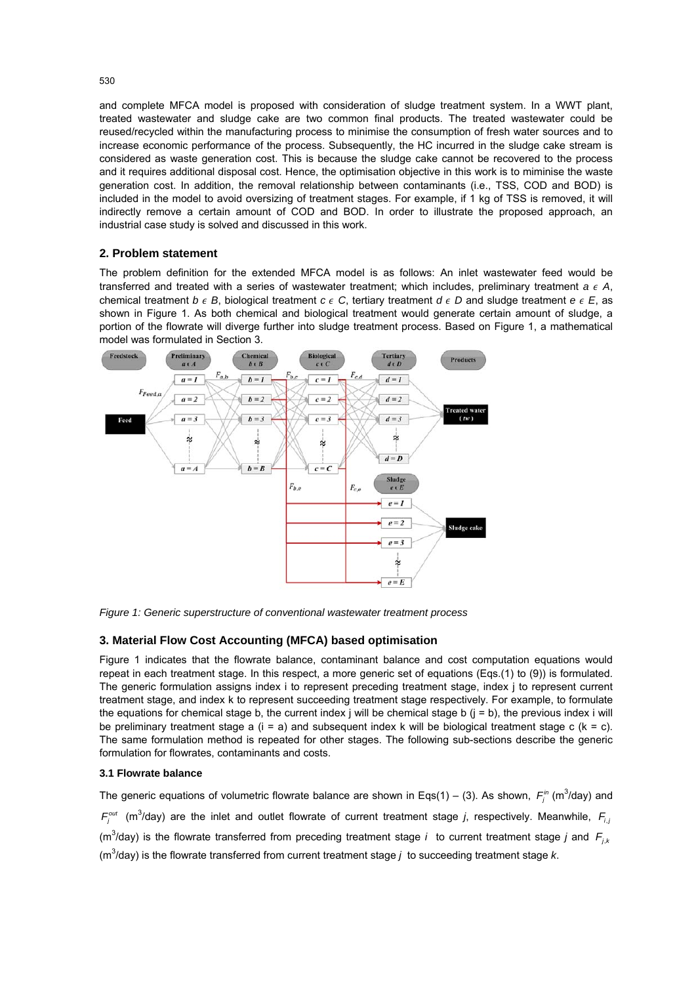and complete MFCA model is proposed with consideration of sludge treatment system. In a WWT plant, treated wastewater and sludge cake are two common final products. The treated wastewater could be reused/recycled within the manufacturing process to minimise the consumption of fresh water sources and to increase economic performance of the process. Subsequently, the HC incurred in the sludge cake stream is considered as waste generation cost. This is because the sludge cake cannot be recovered to the process and it requires additional disposal cost. Hence, the optimisation objective in this work is to miminise the waste generation cost. In addition, the removal relationship between contaminants (i.e., TSS, COD and BOD) is included in the model to avoid oversizing of treatment stages. For example, if 1 kg of TSS is removed, it will indirectly remove a certain amount of COD and BOD. In order to illustrate the proposed approach, an industrial case study is solved and discussed in this work.

## **2. Problem statement**

The problem definition for the extended MFCA model is as follows: An inlet wastewater feed would be transferred and treated with a series of wastewater treatment; which includes, preliminary treatment  $a \in A$ , chemical treatment  $b \in B$ , biological treatment  $c \in C$ , tertiary treatment  $d \in D$  and sludge treatment  $e \in E$ , as shown in Figure 1. As both chemical and biological treatment would generate certain amount of sludge, a portion of the flowrate will diverge further into sludge treatment process. Based on Figure 1, a mathematical model was formulated in Section 3.



*Figure 1: Generic superstructure of conventional wastewater treatment process* 

## **3. Material Flow Cost Accounting (MFCA) based optimisation**

Figure 1 indicates that the flowrate balance, contaminant balance and cost computation equations would repeat in each treatment stage. In this respect, a more generic set of equations (Eqs.(1) to (9)) is formulated. The generic formulation assigns index i to represent preceding treatment stage, index j to represent current treatment stage, and index k to represent succeeding treatment stage respectively. For example, to formulate the equations for chemical stage b, the current index j will be chemical stage b  $(i = b)$ , the previous index i will be preliminary treatment stage a  $(i = a)$  and subsequent index k will be biological treatment stage c  $(k = c)$ . The same formulation method is repeated for other stages. The following sub-sections describe the generic formulation for flowrates, contaminants and costs.

#### **3.1 Flowrate balance**

The generic equations of volumetric flowrate balance are shown in Eqs(1) – (3). As shown,  $F_j^{\text{in}}$  (m<sup>3</sup>/day) and  $F_j^{out}$  (m<sup>3</sup>/day) are the inlet and outlet flowrate of current treatment stage *j*, respectively. Meanwhile,  $F_{i,j}$ (m<sup>3</sup>/day) is the flowrate transferred from preceding treatment stage *i* to current treatment stage *j* and  $F_{j,k}$ (m<sup>3</sup> /day) is the flowrate transferred from current treatment stage *j* to succeeding treatment stage *k*.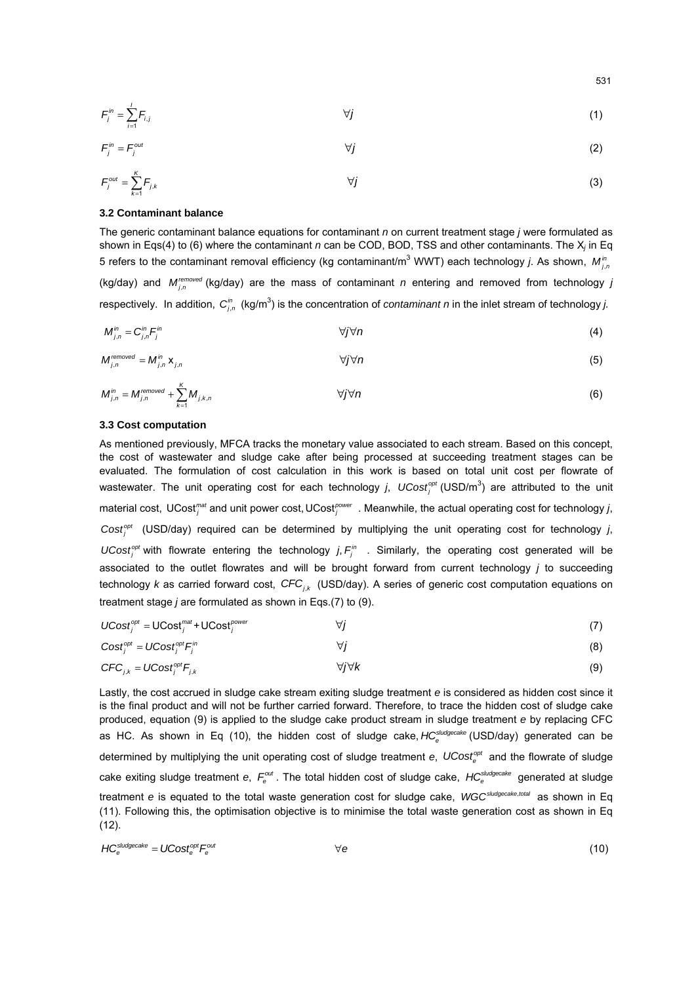$$
\mathcal{F}_j^m = \sum_{i=1}^l \mathcal{F}_{i,j} \tag{1}
$$

$$
\mathcal{F}_j^{\text{in}} = \mathcal{F}_j^{\text{out}} \tag{2}
$$

$$
\mathcal{F}_{j}^{\text{out}} = \sum_{k=1}^{K} \mathcal{F}_{j,k} \tag{3}
$$

#### **3.2 Contaminant balance**

The generic contaminant balance equations for contaminant *n* on current treatment stage *j* were formulated as shown in Eqs(4) to (6) where the contaminant *n* can be COD, BOD, TSS and other contaminants. The X*j* in Eq 5 refers to the contaminant removal efficiency (kg contaminant/m $^3$  WWT) each technology *j*. As shown,  $M^{\text{in}}_{j,r}$ (kg/day) and  $M_{j,n}^{removed}$  (kg/day) are the mass of contaminant *n* entering and removed from technology *j* respectively. In addition,  $C_{j,n}^{in}$  (kg/m<sup>3</sup>) is the concentration of *contaminant n* in the inlet stream of technology *j.* 

$$
M_{j,n}^{in}=C_{j,n}^{in}F_j^{in}
$$
\n
$$
\forall j\forall n
$$
\n(4)

$$
M_{j,n}^{removed} = M_{j,n}^{in} \mathbf{x}_{j,n} \qquad \qquad \forall j \forall n \qquad (5)
$$

$$
M_{j,n}^{in} = M_{j,n}^{re moved} + \sum_{k=1}^{K} M_{j,k,n} \qquad \qquad \forall j \forall n
$$
 (6)

#### **3.3 Cost computation**

As mentioned previously, MFCA tracks the monetary value associated to each stream. Based on this concept, the cost of wastewater and sludge cake after being processed at succeeding treatment stages can be evaluated. The formulation of cost calculation in this work is based on total unit cost per flowrate of wastewater. The unit operating cost for each technology *j*, UCost<sup><sub>opt</sub></sup> (USD/m<sup>3</sup>) are attributed to the unit material cost, UCost<sup>mat</sup> and unit power cost, UCost<sup>power</sup>. Meanwhile, the actual operating cost for technology *j*, *opt Costj* (USD/day) required can be determined by multiplying the unit operating cost for technology *j*, *UCost*<sup>opt</sup> with flowrate entering the technology *j*,  $F_i^m$  . Similarly, the operating cost generated will be associated to the outlet flowrates and will be brought forward from current technology *j* to succeeding technology *k* as carried forward cost, CFC<sub>ik</sub> (USD/day). A series of generic cost computation equations on treatment stage *j* are formulated as shown in Eqs.(7) to (9).

| $UCost_i^{opt} = UCost_i^{mat} + UCost_i^{power}$ | $\forall i$           |     |  |
|---------------------------------------------------|-----------------------|-----|--|
| $Cost_i^{opt} = UCost_i^{opt}F_i^{in}$            | ∀i                    | (8) |  |
| $CFC_{i,k} = UCost_i^{opt}F_{i,k}$                | $\forall i \forall k$ | (9) |  |

Lastly, the cost accrued in sludge cake stream exiting sludge treatment *e* is considered as hidden cost since it is the final product and will not be further carried forward. Therefore, to trace the hidden cost of sludge cake produced, equation (9) is applied to the sludge cake product stream in sludge treatment *e* by replacing CFC as HC. As shown in Eq (10), the hidden cost of sludge cake, *HC*<sup>sludgecake</sup> (USD/day) generated can be determined by multiplying the unit operating cost of sludge treatment *e*, UCost<sup>opt</sup> and the flowrate of sludge cake exiting sludge treatment *e*,  $F_e^{out}$ . The total hidden cost of sludge cake,  $HC_e^{subgecale}$  generated at sludge treatment *e* is equated to the total waste generation cost for sludge cake, *WGCsludgecake total* , as shown in Eq (11). Following this, the optimisation objective is to minimise the total waste generation cost as shown in Eq (12).

$$
HC_e^{sludgecale} = U\text{Cost}_e^{opt}F_e^{out} \qquad \qquad \forall e
$$
 (10)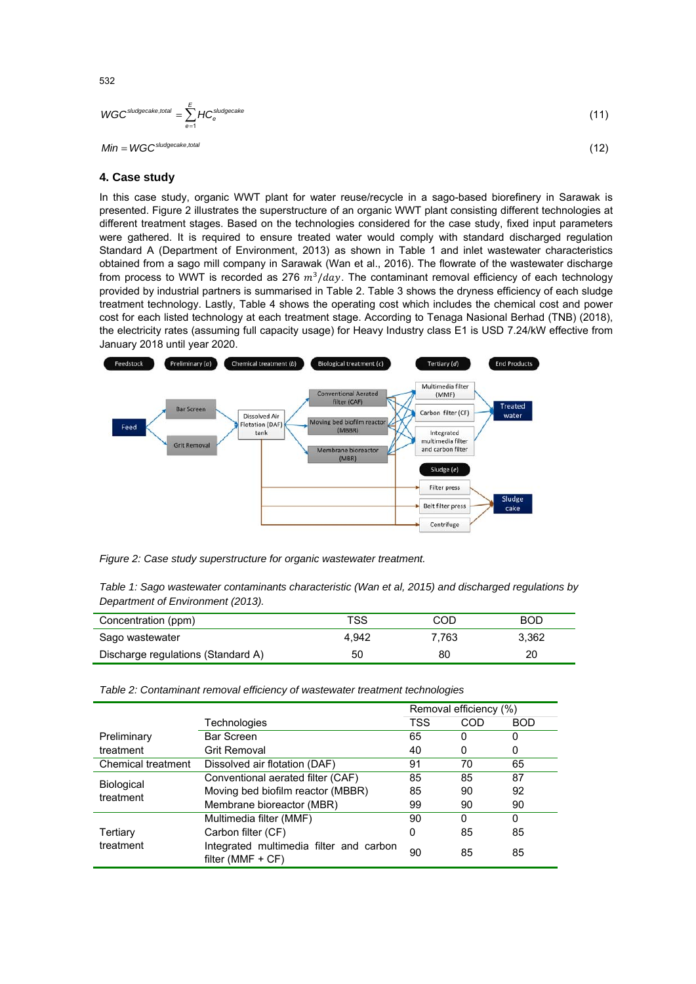$$
WGC^{sludgecale, total} = \sum_{e=1}^{E} HC_e^{sludgecale}
$$
 (11)

 $Min = WGC<sup>shudgecake, total</sup>$  (12)

## **4. Case study**

In this case study, organic WWT plant for water reuse/recycle in a sago-based biorefinery in Sarawak is presented. Figure 2 illustrates the superstructure of an organic WWT plant consisting different technologies at different treatment stages. Based on the technologies considered for the case study, fixed input parameters were gathered. It is required to ensure treated water would comply with standard discharged regulation Standard A (Department of Environment, 2013) as shown in Table 1 and inlet wastewater characteristics obtained from a sago mill company in Sarawak (Wan et al., 2016). The flowrate of the wastewater discharge from process to WWT is recorded as 276  $m^3/day$ . The contaminant removal efficiency of each technology provided by industrial partners is summarised in Table 2. Table 3 shows the dryness efficiency of each sludge treatment technology. Lastly, Table 4 shows the operating cost which includes the chemical cost and power cost for each listed technology at each treatment stage. According to Tenaga Nasional Berhad (TNB) (2018), the electricity rates (assuming full capacity usage) for Heavy Industry class E1 is USD 7.24/kW effective from January 2018 until year 2020.



*Figure 2: Case study superstructure for organic wastewater treatment.* 

| Table 1: Sago wastewater contaminants characteristic (Wan et al, 2015) and discharged regulations by |  |  |
|------------------------------------------------------------------------------------------------------|--|--|
| Department of Environment (2013).                                                                    |  |  |

| Concentration (ppm)                | TSS   | COD   | <b>BOD</b> |
|------------------------------------|-------|-------|------------|
| Sago wastewater                    | 4.942 | 7.763 | 3.362      |
| Discharge regulations (Standard A) | 50    | 80    | 20         |

*Table 2: Contaminant removal efficiency of wastewater treatment technologies* 

|                                |                                                                | Removal efficiency (%) |     |            |
|--------------------------------|----------------------------------------------------------------|------------------------|-----|------------|
|                                | Technologies                                                   | TSS                    | COD | <b>BOD</b> |
| Preliminary                    | Bar Screen                                                     | 65                     | 0   | 0          |
| treatment                      | <b>Grit Removal</b>                                            | 40                     | 0   | 0          |
| Chemical treatment             | Dissolved air flotation (DAF)                                  | 91                     | 70  | 65         |
| <b>Biological</b><br>treatment | Conventional aerated filter (CAF)                              | 85                     | 85  | 87         |
|                                | Moving bed biofilm reactor (MBBR)                              | 85                     | 90  | 92         |
|                                | Membrane bioreactor (MBR)                                      | 99                     | 90  | 90         |
|                                | Multimedia filter (MMF)                                        | 90                     | 0   | 0          |
| Tertiary<br>treatment          | Carbon filter (CF)                                             | 0                      | 85  | 85         |
|                                | Integrated multimedia filter and carbon<br>filter (MMF $+$ CF) | 90                     | 85  | 85         |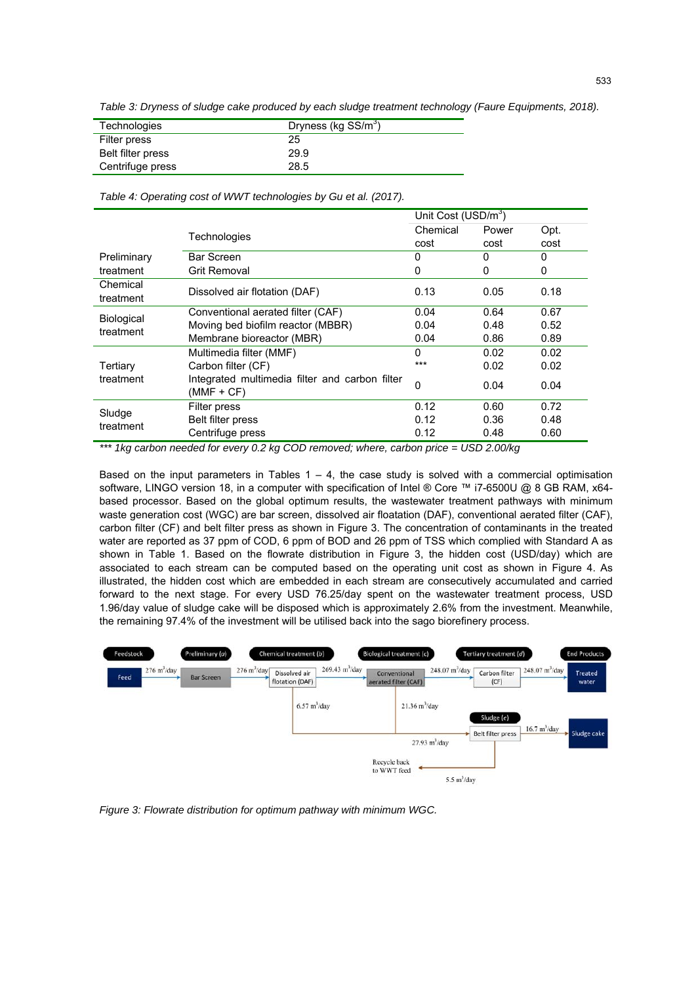*Table 3: Dryness of sludge cake produced by each sludge treatment technology (Faure Equipments, 2018).* 

| Technologies      | Dryness (kg SS/m <sup>3</sup> ) |
|-------------------|---------------------------------|
| Filter press      | 25                              |
| Belt filter press | 29.9                            |
| Centrifuge press  | 28.5                            |

*Table 4: Operating cost of WWT technologies by Gu et al. (2017).* 

|                                                                | Unit Cost (USD/m <sup>3</sup> ) |       |      |
|----------------------------------------------------------------|---------------------------------|-------|------|
| Technologies                                                   | Chemical                        | Power | Opt. |
|                                                                | cost                            | cost  | cost |
| <b>Bar Screen</b>                                              | 0                               | 0     | 0    |
| Grit Removal                                                   | 0                               | 0     | 0    |
| Dissolved air flotation (DAF)                                  | 0.13                            | 0.05  | 0.18 |
| Conventional aerated filter (CAF)                              | 0.04                            | 0.64  | 0.67 |
| Moving bed biofilm reactor (MBBR)                              | 0.04                            | 0.48  | 0.52 |
| Membrane bioreactor (MBR)                                      | 0.04                            | 0.86  | 0.89 |
| Multimedia filter (MMF)                                        | $\Omega$                        | 0.02  | 0.02 |
| Carbon filter (CF)                                             | ***                             | 0.02  | 0.02 |
| Integrated multimedia filter and carbon filter<br>$(MMF + CF)$ | $\Omega$                        | 0.04  | 0.04 |
| Filter press                                                   | 0.12                            | 0.60  | 0.72 |
| Belt filter press                                              | 0.12                            | 0.36  | 0.48 |
| Centrifuge press                                               | 0.12                            | 0.48  | 0.60 |
|                                                                |                                 |       |      |

*\*\*\* 1kg carbon needed for every 0.2 kg COD removed; where, carbon price = USD 2.00/kg* 

Based on the input parameters in Tables  $1 - 4$ , the case study is solved with a commercial optimisation software, LINGO version 18, in a computer with specification of Intel ® Core ™ i7-6500U @ 8 GB RAM, x64based processor. Based on the global optimum results, the wastewater treatment pathways with minimum waste generation cost (WGC) are bar screen, dissolved air floatation (DAF), conventional aerated filter (CAF), carbon filter (CF) and belt filter press as shown in Figure 3. The concentration of contaminants in the treated water are reported as 37 ppm of COD, 6 ppm of BOD and 26 ppm of TSS which complied with Standard A as shown in Table 1. Based on the flowrate distribution in Figure 3, the hidden cost (USD/day) which are associated to each stream can be computed based on the operating unit cost as shown in Figure 4. As illustrated, the hidden cost which are embedded in each stream are consecutively accumulated and carried forward to the next stage. For every USD 76.25/day spent on the wastewater treatment process, USD 1.96/day value of sludge cake will be disposed which is approximately 2.6% from the investment. Meanwhile, the remaining 97.4% of the investment will be utilised back into the sago biorefinery process.



*Figure 3: Flowrate distribution for optimum pathway with minimum WGC.*